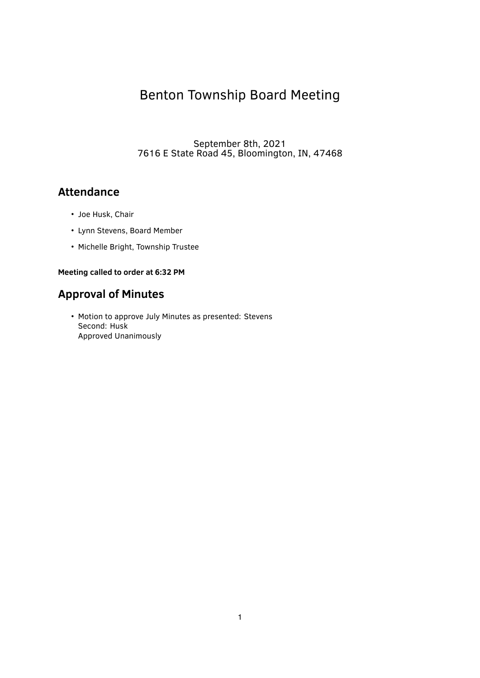# Benton Township Board Meeting

September 8th, 2021 7616 E State Road 45, Bloomington, IN, 47468

# **Attendance**

- Joe Husk, Chair
- Lynn Stevens, Board Member
- Michelle Bright, Township Trustee

### **Meeting called to order at 6:32 PM**

# **Approval of Minutes**

• Motion to approve July Minutes as presented: Stevens Second: Husk Approved Unanimously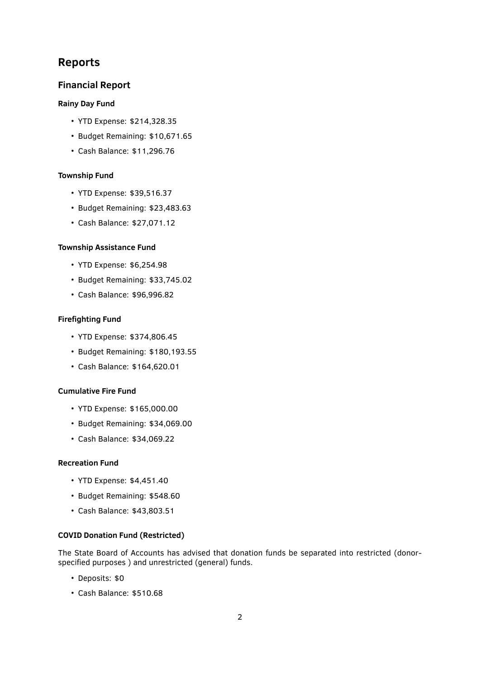# **Reports**

#### **Financial Report**

#### **Rainy Day Fund**

- YTD Expense: \$214,328.35
- Budget Remaining: \$10,671.65
- Cash Balance: \$11,296.76

#### **Township Fund**

- YTD Expense: \$39,516.37
- Budget Remaining: \$23,483.63
- Cash Balance: \$27,071.12

#### **Township Assistance Fund**

- YTD Expense: \$6,254.98
- Budget Remaining: \$33,745.02
- Cash Balance: \$96,996.82

#### **Firefighting Fund**

- YTD Expense: \$374,806.45
- Budget Remaining: \$180,193.55
- Cash Balance: \$164,620.01

#### **Cumulative Fire Fund**

- YTD Expense: \$165,000.00
- Budget Remaining: \$34,069.00
- Cash Balance: \$34,069.22

#### **Recreation Fund**

- YTD Expense: \$4,451.40
- Budget Remaining: \$548.60
- Cash Balance: \$43,803.51

#### **COVID Donation Fund (Restricted)**

The State Board of Accounts has advised that donation funds be separated into restricted (donorspecified purposes ) and unrestricted (general) funds.

- Deposits: \$0
- Cash Balance: \$510.68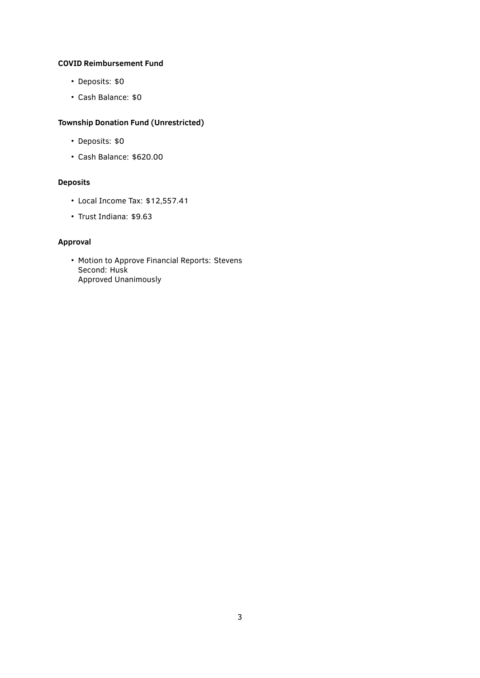#### **COVID Reimbursement Fund**

- Deposits: \$0
- Cash Balance: \$0

### **Township Donation Fund (Unrestricted)**

- Deposits: \$0
- Cash Balance: \$620.00

### **Deposits**

- Local Income Tax: \$12,557.41
- Trust Indiana: \$9.63

### **Approval**

• Motion to Approve Financial Reports: Stevens Second: Husk Approved Unanimously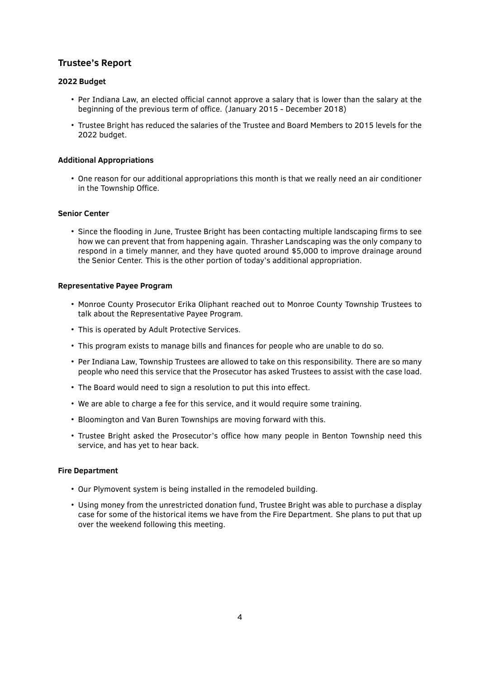# **Trustee's Report**

#### **2022 Budget**

- Per Indiana Law, an elected official cannot approve a salary that is lower than the salary at the beginning of the previous term of office. (January 2015 - December 2018)
- Trustee Bright has reduced the salaries of the Trustee and Board Members to 2015 levels for the 2022 budget.

#### **Additional Appropriations**

• One reason for our additional appropriations this month is that we really need an air conditioner in the Township Office.

#### **Senior Center**

• Since the flooding in June, Trustee Bright has been contacting multiple landscaping firms to see how we can prevent that from happening again. Thrasher Landscaping was the only company to respond in a timely manner, and they have quoted around \$5,000 to improve drainage around the Senior Center. This is the other portion of today's additional appropriation.

#### **Representative Payee Program**

- Monroe County Prosecutor Erika Oliphant reached out to Monroe County Township Trustees to talk about the Representative Payee Program.
- This is operated by Adult Protective Services.
- This program exists to manage bills and finances for people who are unable to do so.
- Per Indiana Law, Township Trustees are allowed to take on this responsibility. There are so many people who need this service that the Prosecutor has asked Trustees to assist with the case load.
- The Board would need to sign a resolution to put this into effect.
- We are able to charge a fee for this service, and it would require some training.
- Bloomington and Van Buren Townships are moving forward with this.
- Trustee Bright asked the Prosecutor's office how many people in Benton Township need this service, and has yet to hear back.

#### **Fire Department**

- Our Plymovent system is being installed in the remodeled building.
- Using money from the unrestricted donation fund, Trustee Bright was able to purchase a display case for some of the historical items we have from the Fire Department. She plans to put that up over the weekend following this meeting.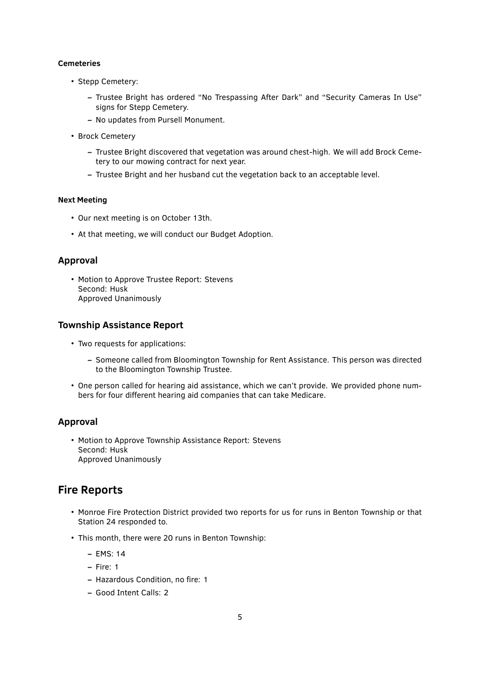#### **Cemeteries**

- Stepp Cemetery:
	- **–** Trustee Bright has ordered "No Trespassing After Dark" and "Security Cameras In Use" signs for Stepp Cemetery.
	- **–** No updates from Pursell Monument.
- Brock Cemetery
	- **–** Trustee Bright discovered that vegetation was around chest-high. We will add Brock Cemetery to our mowing contract for next year.
	- **–** Trustee Bright and her husband cut the vegetation back to an acceptable level.

#### **Next Meeting**

- Our next meeting is on October 13th.
- At that meeting, we will conduct our Budget Adoption.

## **Approval**

• Motion to Approve Trustee Report: Stevens Second: Husk Approved Unanimously

### **Township Assistance Report**

- Two requests for applications:
	- **–** Someone called from Bloomington Township for Rent Assistance. This person was directed to the Bloomington Township Trustee.
- One person called for hearing aid assistance, which we can't provide. We provided phone numbers for four different hearing aid companies that can take Medicare.

# **Approval**

• Motion to Approve Township Assistance Report: Stevens Second: Husk Approved Unanimously

# **Fire Reports**

- Monroe Fire Protection District provided two reports for us for runs in Benton Township or that Station 24 responded to.
- This month, there were 20 runs in Benton Township:
	- **–** EMS: 14
	- **–** Fire: 1
	- **–** Hazardous Condition, no fire: 1
	- **–** Good Intent Calls: 2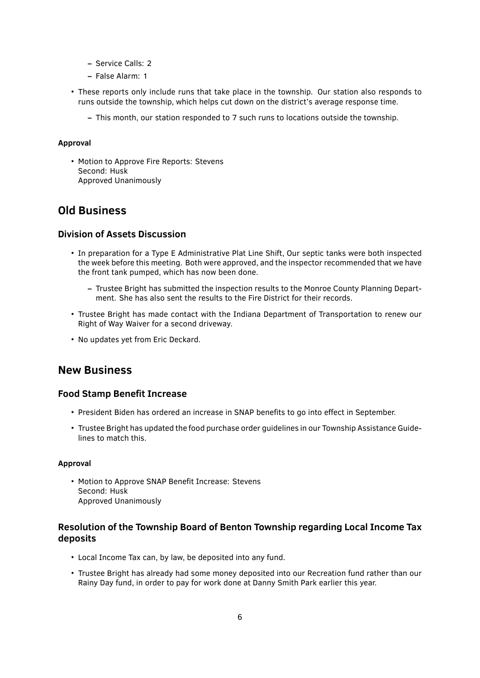- **–** Service Calls: 2
- **–** False Alarm: 1
- These reports only include runs that take place in the township. Our station also responds to runs outside the township, which helps cut down on the district's average response time.
	- **–** This month, our station responded to 7 such runs to locations outside the township.

#### **Approval**

• Motion to Approve Fire Reports: Stevens Second: Husk Approved Unanimously

# **Old Business**

### **Division of Assets Discussion**

- In preparation for a Type E Administrative Plat Line Shift, Our septic tanks were both inspected the week before this meeting. Both were approved, and the inspector recommended that we have the front tank pumped, which has now been done.
	- **–** Trustee Bright has submitted the inspection results to the Monroe County Planning Department. She has also sent the results to the Fire District for their records.
- Trustee Bright has made contact with the Indiana Department of Transportation to renew our Right of Way Waiver for a second driveway.
- No updates yet from Eric Deckard.

# **New Business**

#### **Food Stamp Bene̬t Increase**

- President Biden has ordered an increase in SNAP benefits to go into effect in September.
- Trustee Bright has updated the food purchase order guidelines in our Township Assistance Guidelines to match this.

#### **Approval**

• Motion to Approve SNAP Benefit Increase: Stevens Second: Husk Approved Unanimously

## **Resolution of the Township Board of Benton Township regarding Local Income Tax deposits**

- Local Income Tax can, by law, be deposited into any fund.
- Trustee Bright has already had some money deposited into our Recreation fund rather than our Rainy Day fund, in order to pay for work done at Danny Smith Park earlier this year.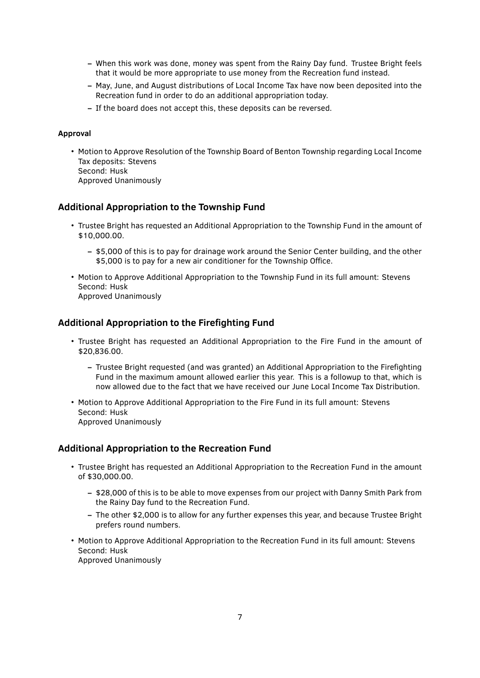- **–** When this work was done, money was spent from the Rainy Day fund. Trustee Bright feels that it would be more appropriate to use money from the Recreation fund instead.
- **–** May, June, and August distributions of Local Income Tax have now been deposited into the Recreation fund in order to do an additional appropriation today.
- **–** If the board does not accept this, these deposits can be reversed.

#### **Approval**

• Motion to Approve Resolution of the Township Board of Benton Township regarding Local Income Tax deposits: Stevens Second: Husk Approved Unanimously

### **Additional Appropriation to the Township Fund**

- Trustee Bright has requested an Additional Appropriation to the Township Fund in the amount of \$10,000.00.
	- **–** \$5,000 of this is to pay for drainage work around the Senior Center building, and the other \$5,000 is to pay for a new air conditioner for the Township Office.
- Motion to Approve Additional Appropriation to the Township Fund in its full amount: Stevens Second: Husk Approved Unanimously

### **Additional Appropriation to the Firefighting Fund**

- Trustee Bright has requested an Additional Appropriation to the Fire Fund in the amount of \$20,836.00.
	- **–** Trustee Bright requested (and was granted) an Additional Appropriation to the Fire̬ghting Fund in the maximum amount allowed earlier this year. This is a followup to that, which is now allowed due to the fact that we have received our June Local Income Tax Distribution.
- Motion to Approve Additional Appropriation to the Fire Fund in its full amount: Stevens Second: Husk Approved Unanimously

#### **Additional Appropriation to the Recreation Fund**

- Trustee Bright has requested an Additional Appropriation to the Recreation Fund in the amount of \$30,000.00.
	- **–** \$28,000 of this is to be able to move expenses from our project with Danny Smith Park from the Rainy Day fund to the Recreation Fund.
	- **–** The other \$2,000 is to allow for any further expenses this year, and because Trustee Bright prefers round numbers.
- Motion to Approve Additional Appropriation to the Recreation Fund in its full amount: Stevens Second: Husk Approved Unanimously